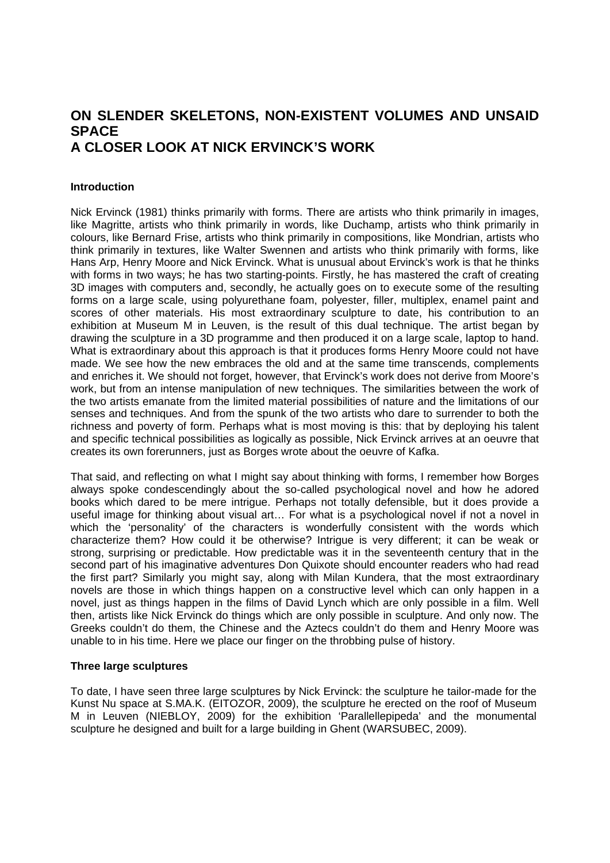# **ON SLENDER SKELETONS, NON-EXISTENT VOLUMES AND UNSAID SPACE A CLOSER LOOK AT NICK ERVINCK'S WORK**

## **Introduction**

Nick Ervinck (1981) thinks primarily with forms. There are artists who think primarily in images, like Magritte, artists who think primarily in words, like Duchamp, artists who think primarily in colours, like Bernard Frise, artists who think primarily in compositions, like Mondrian, artists who think primarily in textures, like Walter Swennen and artists who think primarily with forms, like Hans Arp, Henry Moore and Nick Ervinck. What is unusual about Ervinck's work is that he thinks with forms in two ways; he has two starting-points. Firstly, he has mastered the craft of creating 3D images with computers and, secondly, he actually goes on to execute some of the resulting forms on a large scale, using polyurethane foam, polyester, filler, multiplex, enamel paint and scores of other materials. His most extraordinary sculpture to date, his contribution to an exhibition at Museum M in Leuven, is the result of this dual technique. The artist began by drawing the sculpture in a 3D programme and then produced it on a large scale, laptop to hand. What is extraordinary about this approach is that it produces forms Henry Moore could not have made. We see how the new embraces the old and at the same time transcends, complements and enriches it. We should not forget, however, that Ervinck's work does not derive from Moore's work, but from an intense manipulation of new techniques. The similarities between the work of the two artists emanate from the limited material possibilities of nature and the limitations of our senses and techniques. And from the spunk of the two artists who dare to surrender to both the richness and poverty of form. Perhaps what is most moving is this: that by deploying his talent and specific technical possibilities as logically as possible, Nick Ervinck arrives at an oeuvre that creates its own forerunners, just as Borges wrote about the oeuvre of Kafka.

That said, and reflecting on what I might say about thinking with forms, I remember how Borges always spoke condescendingly about the so-called psychological novel and how he adored books which dared to be mere intrigue. Perhaps not totally defensible, but it does provide a useful image for thinking about visual art… For what is a psychological novel if not a novel in which the 'personality' of the characters is wonderfully consistent with the words which characterize them? How could it be otherwise? Intrigue is very different; it can be weak or strong, surprising or predictable. How predictable was it in the seventeenth century that in the second part of his imaginative adventures Don Quixote should encounter readers who had read the first part? Similarly you might say, along with Milan Kundera, that the most extraordinary novels are those in which things happen on a constructive level which can only happen in a novel, just as things happen in the films of David Lynch which are only possible in a film. Well then, artists like Nick Ervinck do things which are only possible in sculpture. And only now. The Greeks couldn't do them, the Chinese and the Aztecs couldn't do them and Henry Moore was unable to in his time. Here we place our finger on the throbbing pulse of history.

### **Three large sculptures**

To date, I have seen three large sculptures by Nick Ervinck: the sculpture he tailor-made for the Kunst Nu space at S.MA.K. (EITOZOR, 2009), the sculpture he erected on the roof of Museum M in Leuven (NIEBLOY, 2009) for the exhibition 'Parallellepipeda' and the monumental sculpture he designed and built for a large building in Ghent (WARSUBEC, 2009).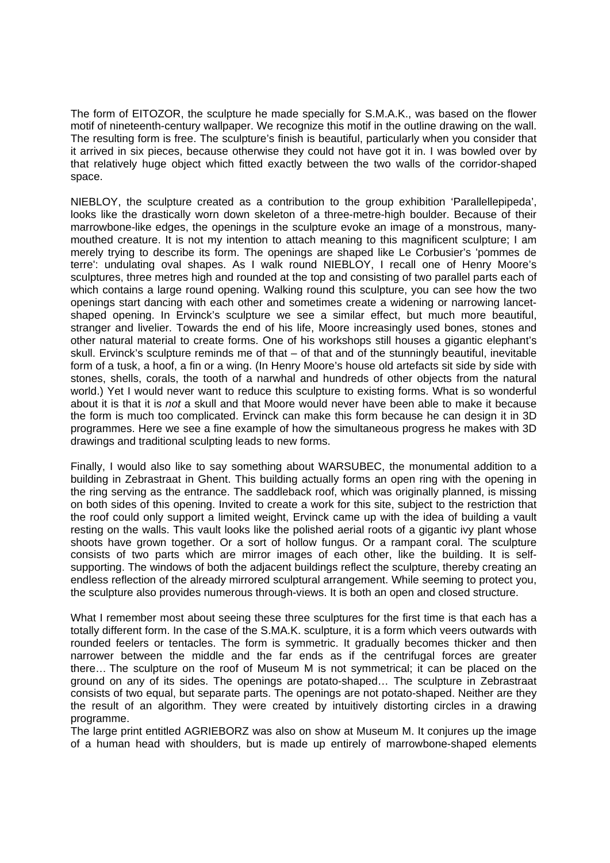The form of EITOZOR, the sculpture he made specially for S.M.A.K., was based on the flower motif of nineteenth-century wallpaper. We recognize this motif in the outline drawing on the wall. The resulting form is free. The sculpture's finish is beautiful, particularly when you consider that it arrived in six pieces, because otherwise they could not have got it in. I was bowled over by that relatively huge object which fitted exactly between the two walls of the corridor-shaped space.

NIEBLOY, the sculpture created as a contribution to the group exhibition 'Parallellepipeda', looks like the drastically worn down skeleton of a three-metre-high boulder. Because of their marrowbone-like edges, the openings in the sculpture evoke an image of a monstrous, manymouthed creature. It is not my intention to attach meaning to this magnificent sculpture; I am merely trying to describe its form. The openings are shaped like Le Corbusier's 'pommes de terre': undulating oval shapes. As I walk round NIEBLOY, I recall one of Henry Moore's sculptures, three metres high and rounded at the top and consisting of two parallel parts each of which contains a large round opening. Walking round this sculpture, you can see how the two openings start dancing with each other and sometimes create a widening or narrowing lancetshaped opening. In Ervinck's sculpture we see a similar effect, but much more beautiful, stranger and livelier. Towards the end of his life, Moore increasingly used bones, stones and other natural material to create forms. One of his workshops still houses a gigantic elephant's skull. Ervinck's sculpture reminds me of that – of that and of the stunningly beautiful, inevitable form of a tusk, a hoof, a fin or a wing. (In Henry Moore's house old artefacts sit side by side with stones, shells, corals, the tooth of a narwhal and hundreds of other objects from the natural world.) Yet I would never want to reduce this sculpture to existing forms. What is so wonderful about it is that it is *not* a skull and that Moore would never have been able to make it because the form is much too complicated. Ervinck can make this form because he can design it in 3D programmes. Here we see a fine example of how the simultaneous progress he makes with 3D drawings and traditional sculpting leads to new forms.

Finally, I would also like to say something about WARSUBEC, the monumental addition to a building in Zebrastraat in Ghent. This building actually forms an open ring with the opening in the ring serving as the entrance. The saddleback roof, which was originally planned, is missing on both sides of this opening. Invited to create a work for this site, subject to the restriction that the roof could only support a limited weight, Ervinck came up with the idea of building a vault resting on the walls. This vault looks like the polished aerial roots of a gigantic ivy plant whose shoots have grown together. Or a sort of hollow fungus. Or a rampant coral. The sculpture consists of two parts which are mirror images of each other, like the building. It is selfsupporting. The windows of both the adjacent buildings reflect the sculpture, thereby creating an endless reflection of the already mirrored sculptural arrangement. While seeming to protect you, the sculpture also provides numerous through-views. It is both an open and closed structure.

What I remember most about seeing these three sculptures for the first time is that each has a totally different form. In the case of the S.MA.K. sculpture, it is a form which veers outwards with rounded feelers or tentacles. The form is symmetric. It gradually becomes thicker and then narrower between the middle and the far ends as if the centrifugal forces are greater there… The sculpture on the roof of Museum M is not symmetrical; it can be placed on the ground on any of its sides. The openings are potato-shaped… The sculpture in Zebrastraat consists of two equal, but separate parts. The openings are not potato-shaped. Neither are they the result of an algorithm. They were created by intuitively distorting circles in a drawing programme.

The large print entitled AGRIEBORZ was also on show at Museum M. It conjures up the image of a human head with shoulders, but is made up entirely of marrowbone-shaped elements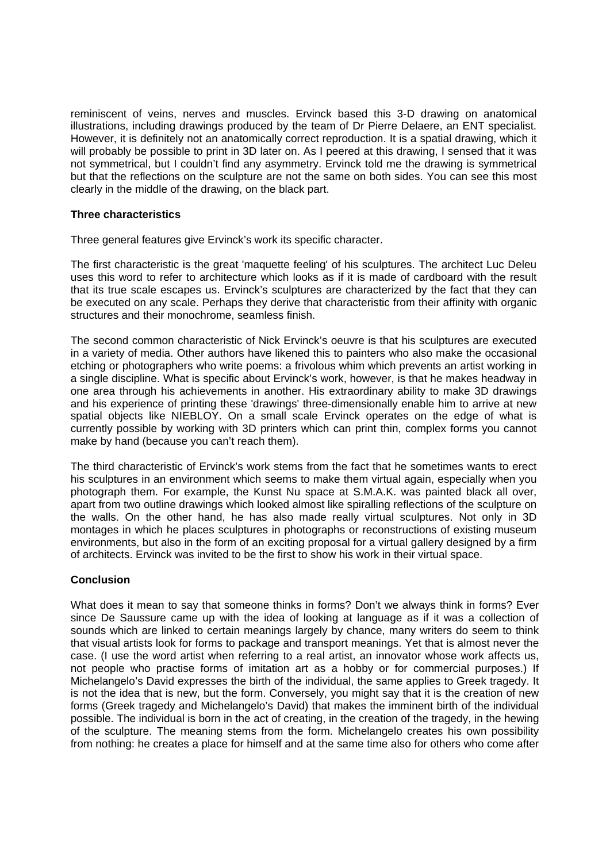reminiscent of veins, nerves and muscles. Ervinck based this 3-D drawing on anatomical illustrations, including drawings produced by the team of Dr Pierre Delaere, an ENT specialist. However, it is definitely not an anatomically correct reproduction. It is a spatial drawing, which it will probably be possible to print in 3D later on. As I peered at this drawing, I sensed that it was not symmetrical, but I couldn't find any asymmetry. Ervinck told me the drawing is symmetrical but that the reflections on the sculpture are not the same on both sides. You can see this most clearly in the middle of the drawing, on the black part.

### **Three characteristics**

Three general features give Ervinck's work its specific character.

The first characteristic is the great 'maquette feeling' of his sculptures. The architect Luc Deleu uses this word to refer to architecture which looks as if it is made of cardboard with the result that its true scale escapes us. Ervinck's sculptures are characterized by the fact that they can be executed on any scale. Perhaps they derive that characteristic from their affinity with organic structures and their monochrome, seamless finish.

The second common characteristic of Nick Ervinck's oeuvre is that his sculptures are executed in a variety of media. Other authors have likened this to painters who also make the occasional etching or photographers who write poems: a frivolous whim which prevents an artist working in a single discipline. What is specific about Ervinck's work, however, is that he makes headway in one area through his achievements in another. His extraordinary ability to make 3D drawings and his experience of printing these 'drawings' three-dimensionally enable him to arrive at new spatial objects like NIEBLOY. On a small scale Ervinck operates on the edge of what is currently possible by working with 3D printers which can print thin, complex forms you cannot make by hand (because you can't reach them).

The third characteristic of Ervinck's work stems from the fact that he sometimes wants to erect his sculptures in an environment which seems to make them virtual again, especially when you photograph them. For example, the Kunst Nu space at S.M.A.K. was painted black all over, apart from two outline drawings which looked almost like spiralling reflections of the sculpture on the walls. On the other hand, he has also made really virtual sculptures. Not only in 3D montages in which he places sculptures in photographs or reconstructions of existing museum environments, but also in the form of an exciting proposal for a virtual gallery designed by a firm of architects. Ervinck was invited to be the first to show his work in their virtual space.

### **Conclusion**

What does it mean to say that someone thinks in forms? Don't we always think in forms? Ever since De Saussure came up with the idea of looking at language as if it was a collection of sounds which are linked to certain meanings largely by chance, many writers do seem to think that visual artists look for forms to package and transport meanings. Yet that is almost never the case. (I use the word artist when referring to a real artist, an innovator whose work affects us, not people who practise forms of imitation art as a hobby or for commercial purposes.) If Michelangelo's David expresses the birth of the individual, the same applies to Greek tragedy. It is not the idea that is new, but the form. Conversely, you might say that it is the creation of new forms (Greek tragedy and Michelangelo's David) that makes the imminent birth of the individual possible. The individual is born in the act of creating, in the creation of the tragedy, in the hewing of the sculpture. The meaning stems from the form. Michelangelo creates his own possibility from nothing: he creates a place for himself and at the same time also for others who come after